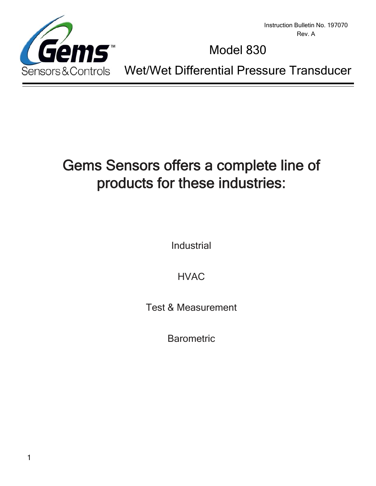

Instruction Bulletin No. 197070 Rev. A

# Model 830

Sensors&Controls Wet/Wet Differential Pressure Transducer

# Gems Sensors offers a complete line of products for these industries:

Industrial

HVAC

Test & Measurement

**Barometric**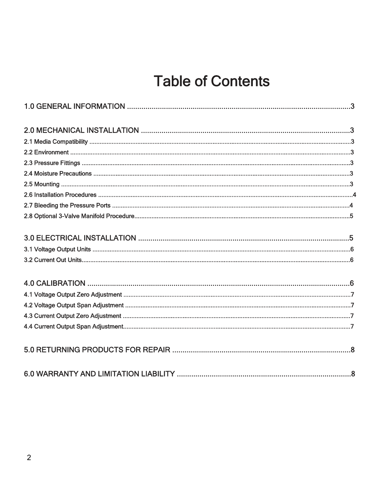# **Table of Contents**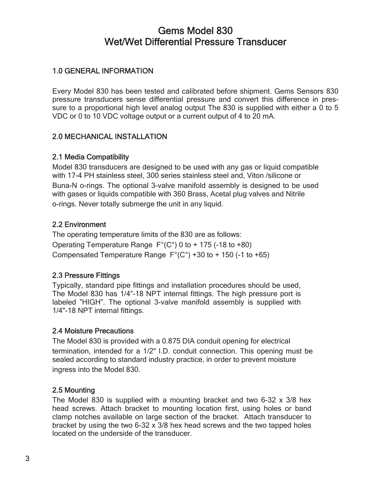# Gems Model 830 Wet/Wet Differential Pressure Transducer

# 1.0 GENERAL INFORMATION

Every Model 830 has been tested and calibrated before shipment. Gems Sensors 830 pressure transducers sense differential pressure and convert this difference in pressure to a proportional high level analog output The 830 is supplied with either a 0 to 5 VDC or 0 to 10 VDC voltage output or a current output of 4 to 20 mA.

#### 2.0 MECHANICAL INSTALLATION

#### 2.1 Media Compatibility

Model 830 transducers are designed to be used with any gas or liquid compatible with 17-4 PH stainless steel, 300 series stainless steel and, Viton /silicone or Buna-N o-rings. The optional 3-valve manifold assembly is designed to be used with gases or liquids compatible with 360 Brass, Acetal plug valves and Nitrile o-rings. Never totally submerge the unit in any liquid.

#### 2.2 Environment

The operating temperature limits of the 830 are as follows: Operating Temperature Range F°(C°) 0 to + 175 (-18 to +80) Compensated Temperature Range  $F^{\circ}(C^{\circ})$  +30 to + 150 (-1 to +65)

# 2.3 Pressure Fittings

Typically, standard pipe fittings and installation procedures should be used, The Model 830 has 1/4"-18 NPT internal fittings. The high pressure port is labeled "HIGH". The optional 3-valve manifold assembly is supplied with 1/4"-18 NPT internal fittings.

#### 2.4 Moisture Precautions

The Model 830 is provided with a 0.875 DIA conduit opening for electrical termination, intended for a 1/2" I.D. conduit connection. This opening must be sealed according to standard industry practice, in order to prevent moisture ingress into the Model 830.

#### 2.5 Mounting

The Model 830 is supplied with a mounting bracket and two 6-32 x 3/8 hex head screws. Attach bracket to mounting location first, using holes or band clamp notches available on large section of the bracket. Attach transducer to bracket by using the two 6-32 x 3/8 hex head screws and the two tapped holes located on the underside of the transducer.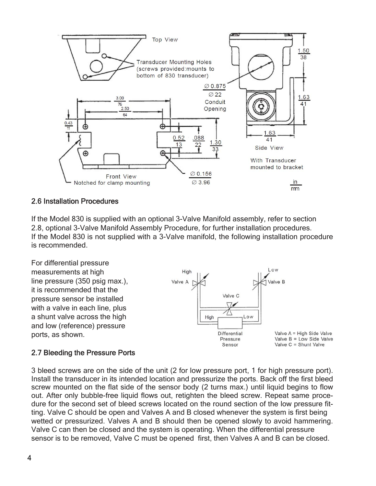

#### 2.6 Installation Procedures

If the Model 830 is supplied with an optional 3-Valve Manifold assembly, refer to section 2.8, optional 3-Valve Manifold Assembly Procedure, for further installation procedures. If the Model 830 is not supplied with a 3-Valve manifold, the following installation procedure is recommended.

For differential pressure measurements at high line pressure (350 psig max.), it is recommended that the pressure sensor be installed with a valve in each line, plus a shunt valve across the high and low (reference) pressure ports, as shown.



#### 2.7 Bleeding the Pressure Ports

3 bleed screws are on the side of the unit (2 for low pressure port, 1 for high pressure port). Install the transducer in its intended location and pressurize the ports. Back off the first bleed screw mounted on the flat side of the sensor body (2 turns max.) until liquid begins to flow out. After only bubble-free liquid flows out, retighten the bleed screw. Repeat same procedure for the second set of bleed screws located on the round section of the low pressure fitting. Valve C should be open and Valves A and B closed whenever the system is first being wetted or pressurized. Valves A and B should then be opened slowly to avoid hammering. Valve C can then be closed and the system is operating. When the differential pressure sensor is to be removed, Valve C must be opened first, then Valves A and B can be closed.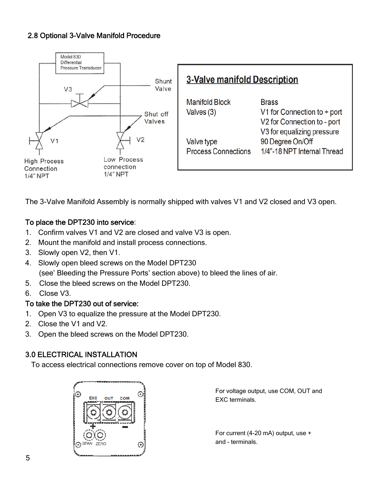# 2.8 Optional 3-Valve Manifold Procedure



The 3-Valve Manifold Assembly is normally shipped with valves V1 and V2 closed and V3 open.

# To place the DPT230 into service:

- 1. Confirm valves V1 and V2 are closed and valve V3 is open.
- 2. Mount the manifold and install process connections.
- 3. Slowly open V2, then V1.
- 4. Slowly open bleed screws on the Model DPT230 (see' Bleeding the Pressure Ports' section above) to bleed the lines of air.
- 5. Close the bleed screws on the Model DPT230.
- 6. Close V3.

# To take the DPT230 out of service:

- 1. Open V3 to equalize the pressure at the Model DPT230.
- 2. Close the V1 and V2.
- 3. Open the bleed screws on the Model DPT230.

# 3.0 ELECTRICAL INSTALLATION

To access electrical connections remove cover on top of Model 830.



For voltage output, use COM, OUT and EXC terminals.

For current (4-20 mA) output, use + and - terminals.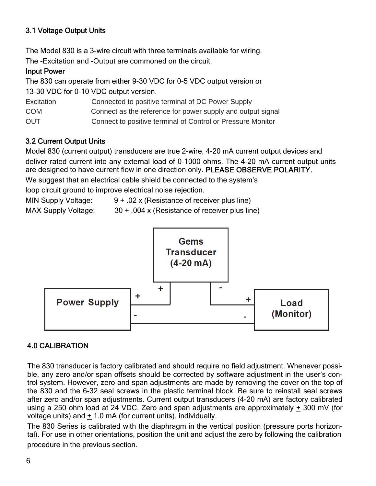# 3.1 Voltage Output Units

The Model 830 is a 3-wire circuit with three terminals available for wiring. The -Excitation and -Output are commoned on the circuit.

#### Input Power

The 830 can operate from either 9-30 VDC for 0-5 VDC output version or 13-30 VDC for 0-10 VDC output version. Excitation Connected to positive terminal of DC Power Supply

COM Connect as the reference for power supply and output signal

OUT Connect to positive terminal of Control or Pressure Monitor

#### 3.2 Current Output Units

Model 830 (current output) transducers are true 2-wire, 4-20 mA current output devices and deliver rated current into any external load of 0-1000 ohms. The 4-20 mA current output units are designed to have current flow in one direction only. PLEASE OBSERVE POLARITY.

We suggest that an electrical cable shield be connected to the system's

loop circuit ground to improve electrical noise rejection.

MIN Supply Voltage: 9 + .02 x (Resistance of receiver plus line)





#### 4.0 CALIBRATION

The 830 transducer is factory calibrated and should require no field adjustment. Whenever possible, any zero and/or span offsets should be corrected by software adjustment in the user's control system. However, zero and span adjustments are made by removing the cover on the top of the 830 and the 6-32 seal screws in the plastic terminal block. Be sure to reinstall seal screws after zero and/or span adjustments. Current output transducers (4-20 mA) are factory calibrated using a 250 ohm load at 24 VDC. Zero and span adjustments are approximately + 300 mV (for voltage units) and + 1.0 mA (for current units), individually.

The 830 Series is calibrated with the diaphragm in the vertical position (pressure ports horizontal). For use in other orientations, position the unit and adjust the zero by following the calibration procedure in the previous section.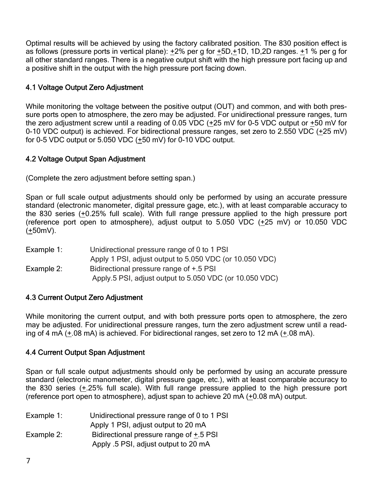Optimal results will be achieved by using the factory calibrated position. The 830 position effect is as follows (pressure ports in vertical plane): +2% per g for +5D,+1D, 1D,2D ranges. +1 % per g for all other standard ranges. There is a negative output shift with the high pressure port facing up and a positive shift in the output with the high pressure port facing down.

### 4.1 Voltage Output Zero Adjustment

While monitoring the voltage between the positive output (OUT) and common, and with both pressure ports open to atmosphere, the zero may be adjusted. For unidirectional pressure ranges, turn the zero adjustment screw until a reading of 0.05 VDC  $(+25 \text{ mV}$  for 0-5 VDC output or  $+50 \text{ mV}$  for 0-10 VDC output) is achieved. For bidirectional pressure ranges, set zero to 2.550 VDC  $(+25 \text{ mV})$ for 0-5 VDC output or 5.050 VDC (+50 mV) for 0-10 VDC output.

#### 4.2 Voltage Output Span Adjustment

(Complete the zero adjustment before setting span.)

Span or full scale output adjustments should only be performed by using an accurate pressure standard (electronic manometer, digital pressure gage, etc.), with at least comparable accuracy to the 830 series (+0.25% full scale). With full range pressure applied to the high pressure port (reference port open to atmosphere), adjust output to  $5.050$  VDC  $(+25$  mV) or 10.050 VDC (+50mV).

| Example 1: | Unidirectional pressure range of 0 to 1 PSI             |
|------------|---------------------------------------------------------|
|            | Apply 1 PSI, adjust output to 5.050 VDC (or 10.050 VDC) |
| Example 2: | Bidirectional pressure range of +.5 PSI                 |
|            | Apply.5 PSI, adjust output to 5.050 VDC (or 10.050 VDC) |
|            |                                                         |

#### 4.3 Current Output Zero Adjustment

While monitoring the current output, and with both pressure ports open to atmosphere, the zero may be adjusted. For unidirectional pressure ranges, turn the zero adjustment screw until a reading of 4 mA (+.08 mA) is achieved. For bidirectional ranges, set zero to 12 mA (+.08 mA).

#### 4.4 Current Output Span Adjustment

Span or full scale output adjustments should only be performed by using an accurate pressure standard (electronic manometer, digital pressure gage, etc.), with at least comparable accuracy to the 830 series (+.25% full scale). With full range pressure applied to the high pressure port (reference port open to atmosphere), adjust span to achieve 20 mA (+0.08 mA) output.

| Example $1$ : | Unidirectional pressure range of 0 to 1 PSI |
|---------------|---------------------------------------------|
|               | Apply 1 PSI, adjust output to 20 mA         |
| Example 2:    | Bidirectional pressure range of +.5 PSI     |
|               | Apply .5 PSI, adjust output to 20 mA        |